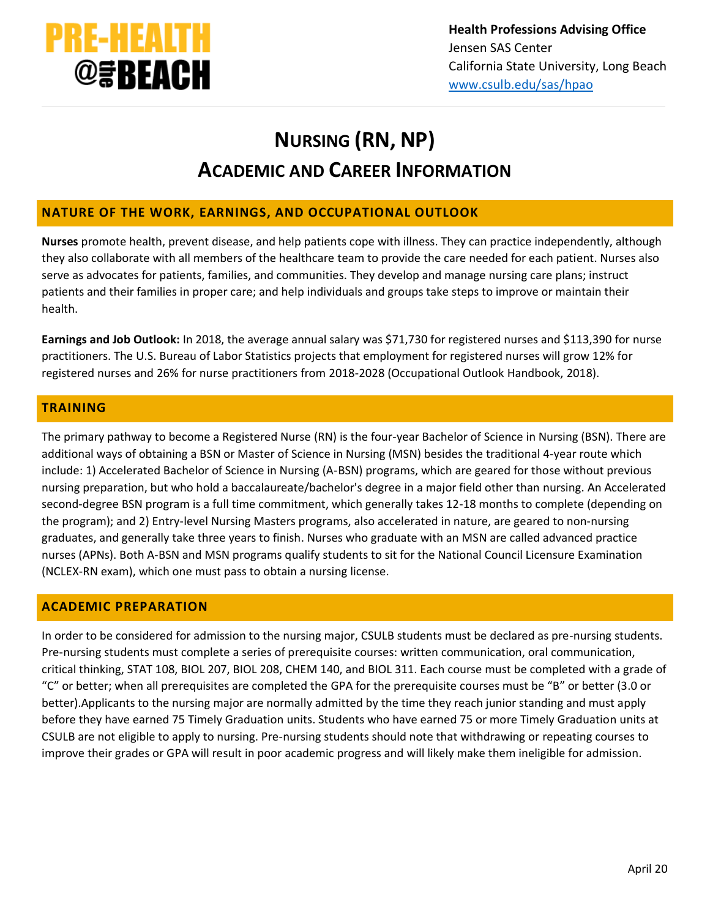

# **NURSING (RN, NP) ACADEMIC AND CAREER INFORMATION**

## **NATURE OF THE WORK, EARNINGS, AND OCCUPATIONAL OUTLOOK**

**Nurses** promote health, prevent disease, and help patients cope with illness. They can practice independently, although they also collaborate with all members of the healthcare team to provide the care needed for each patient. Nurses also serve as advocates for patients, families, and communities. They develop and manage nursing care plans; instruct patients and their families in proper care; and help individuals and groups take steps to improve or maintain their health.

**Earnings and Job Outlook:** In 2018, the average annual salary was \$71,730 for registered nurses and \$113,390 for nurse practitioners. The U.S. Bureau of Labor Statistics projects that employment for registered nurses will grow 12% for registered nurses and 26% for nurse practitioners from 2018-2028 (Occupational Outlook Handbook, 2018).

## **TRAINING**

The primary pathway to become a Registered Nurse (RN) is the four-year Bachelor of Science in Nursing (BSN). There are additional ways of obtaining a BSN or Master of Science in Nursing (MSN) besides the traditional 4-year route which include: 1) Accelerated Bachelor of Science in Nursing (A-BSN) programs, which are geared for those without previous nursing preparation, but who hold a baccalaureate/bachelor's degree in a major field other than nursing. An Accelerated second-degree BSN program is a full time commitment, which generally takes 12-18 months to complete (depending on the program); and 2) Entry-level Nursing Masters programs, also accelerated in nature, are geared to non-nursing graduates, and generally take three years to finish. Nurses who graduate with an MSN are called advanced practice nurses (APNs). Both A-BSN and MSN programs qualify students to sit for the National Council Licensure Examination (NCLEX-RN exam), which one must pass to obtain a nursing license.

### **ACADEMIC PREPARATION**

In order to be considered for admission to the nursing major, CSULB students must be declared as pre-nursing students. Pre-nursing students must complete a series of prerequisite courses: written communication, oral communication, critical thinking, STAT 108, BIOL 207, BIOL 208, CHEM 140, and BIOL 311. Each course must be completed with a grade of "C" or better; when all prerequisites are completed the GPA for the prerequisite courses must be "B" or better (3.0 or better).Applicants to the nursing major are normally admitted by the time they reach junior standing and must apply before they have earned 75 Timely Graduation units. Students who have earned 75 or more Timely Graduation units at CSULB are not eligible to apply to nursing. Pre-nursing students should note that withdrawing or repeating courses to improve their grades or GPA will result in poor academic progress and will likely make them ineligible for admission.